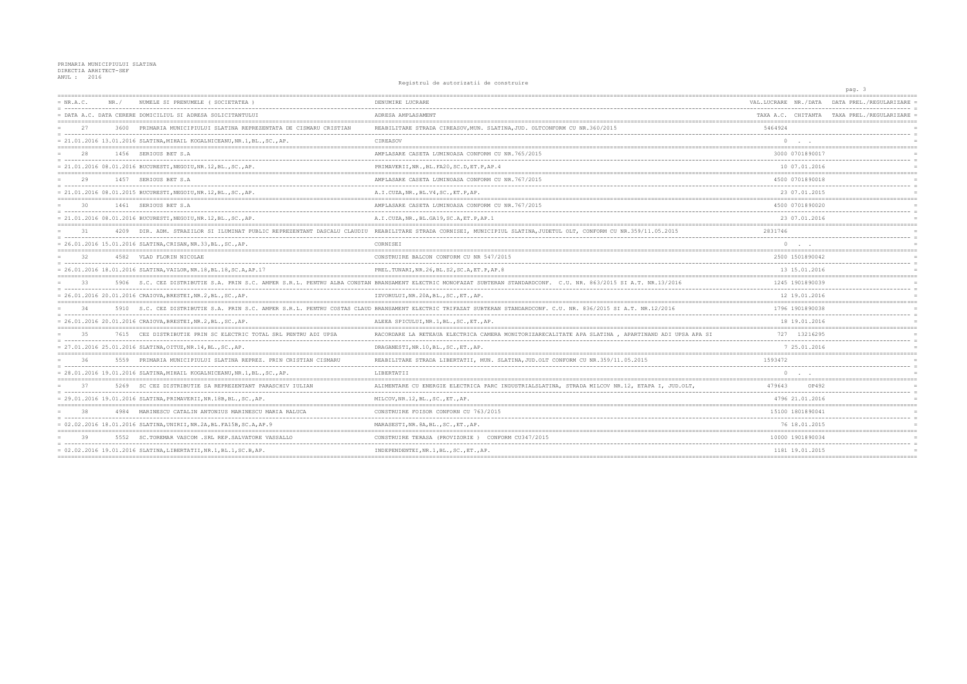## PRIMARIA MUNICIPIULUI SLATINA<br>DIRECTIA ARHITECT-SEF<br>ANUL : 2016

## Registrul de autorizatii de construire

|           |       |                                                                           |                                                                                                                                                                      |                                        | pag. 3                  |
|-----------|-------|---------------------------------------------------------------------------|----------------------------------------------------------------------------------------------------------------------------------------------------------------------|----------------------------------------|-------------------------|
| = NR.A.C. | NR. / | NUMELE SI PRENUMELE ( SOCIETATEA )                                        | DENUMIRE LUCRARE                                                                                                                                                     | VAL.LUCRARE NR./DATA                   | DATA PREL./REGULARIZARE |
|           |       | = DATA A.C. DATA CERERE DOMICILIUL SI ADRESA SOLICITANTULUI               | ADRESA AMPLASAMENT                                                                                                                                                   | TAXA A.C. CHITANTA TAXA PREL./REGULARI |                         |
| 2.7       | 3600  | PRIMARIA MUNICIPIULUI SLATINA REPREZENTATA DE CISMARU CRISTIAN            | REABILITARE STRADA CIREASOV, MUN. SLATINA, JUD. OLTCONFORM CU NR.360/2015                                                                                            | 5464924                                |                         |
|           |       | = 21.01.2016 13.01.2016 SLATINA, MIHAIL KOGALNICEANU, NR.1, BL., SC., AP. | CIREASOV                                                                                                                                                             |                                        |                         |
| 28        |       | 1456 SERIOUS BET S.A                                                      | AMPLASARE CASETA LUMINOASA CONFORM CU NR.765/2015                                                                                                                    | 3000 0701890017                        |                         |
|           |       | = 21.01.2016 08.01.2016 BUCURESTI, NEGOIU, NR.12, BL., SC., AP.           | PRIMAVERII, NR., BL. FA20, SC.D, ET.P, AP. 4                                                                                                                         | 10 07.01.2016                          |                         |
| 29        |       | 1457 SERIOUS BET S.A                                                      | AMPLASARE CASETA LUMINOASA CONFORM CU NR.767/2015                                                                                                                    | 4500 0701890018                        |                         |
|           |       | = 21.01.2016 08.01.2015 BUCURESTI, NEGOIU, NR.12, BL., SC., AP.           | A.I.CUZA, NR., BL.V4, SC., ET.P, AP.                                                                                                                                 | 23 07.01.2015                          |                         |
| 30        |       | 1461 SERIOUS BET S.A                                                      | AMPLASARE CASETA LUMINOASA CONFORM CU NR.767/2015                                                                                                                    | 4500 0701890020                        |                         |
|           |       | = 21.01.2016 08.01.2016 BUCURESTI, NEGOIU, NR.12, BL., SC., AP.           | A.I.CUZA, NR., BL.GA19, SC.A, ET.P, AP.1                                                                                                                             | 23 07.01.2016                          |                         |
| 31        |       |                                                                           | 4209 DIR. ADM. STRAZILOR SI ILUMINAT PUBLIC REPREZENTANT DASCALU CLAUDIU REABILITARE STRADA CORNISEI, MUNICIPIUL SLATINA, JUDETUL OLT, CONFORM CU NR. 359/11.05.2015 | 2831746                                |                         |
|           |       | = 26.01.2016 15.01.2016 SLATINA, CRISAN, NR.33, BL., SC., AP.             | CORNISEI                                                                                                                                                             | $\circ$                                |                         |
| 32        |       | 4582 VLAD FLORIN NICOLAE                                                  | CONSTRUIRE BALCON CONFORM CU NR 547/2015                                                                                                                             | 2500 1501890042                        |                         |
|           |       | = 26.01.2016 18.01.2016 SLATINA, VAILOR, NR.18, BL.18, SC.A, AP.17        | PREL. TUNARI, NR. 26, BL. S2, SC. A, ET. P, AP. 8                                                                                                                    | 13 15.01.2016                          |                         |
| 33        |       |                                                                           | 5906 S.C. CEZ DISTRIBUTIE S.A. PRIN S.C. AMPER S.R.L. PENTRU ALBA CONSTAN BRANSAMENT ELECTRIC MONOFAZAT SUBTERAN STANDARDCONF. C.U. NR. 863/2015 SI A.T. NR.13/2016  | 1245 1901890039                        |                         |
|           |       | = 26.01.2016 20.01.2016 CRAIOVA, BRESTEI, NR.2, BL., SC., AP.             | IZVORULUI, NR. 20A, BL., SC., ET., AP.                                                                                                                               | 12 19.01.2016                          |                         |
| 34        |       |                                                                           | 5910 S.C. CEZ DISTRIBUTIE S.A. PRIN S.C. AMPER S.R.L. PENTRU COSTAS CLAUD BRANSAMENT ELECTRIC TRIFAZAT SUBTERAN STANDARDCONF. C.U. NR. 836/2015 SI A.T. NR.12/2016   | 1796 1901890038                        |                         |
|           |       | = 26.01.2016 20.01.2016 CRAIOVA, BRESTEI, NR.2, BL., SC., AP.             | ALEEA SPICULUI, NR. 1, BL., SC., ET., AP.                                                                                                                            | 18 19.01.2016                          |                         |
| 35        |       | 7615 CEZ DISTRIBUTIE PRIN SC ELECTRIC TOTAL SRL PENTRU ADI UPSA           | RACORDARE LA RETEAUA ELECTRICA CAMERA MONITORIZARECALITATE APA SLATINA , APARTINAND ADI UPSA APA SI                                                                  | 727 13216295                           |                         |
|           |       | = 27.01.2016 25.01.2016 SLATINA, OITUZ, NR.14, BL., SC., AP.              | DRAGANESTI, NR.10, BL., SC., ET., AP.                                                                                                                                | 7 25.01.2016                           |                         |
|           |       | 5559 PRIMARIA MUNICIPIULUI SLATINA REPREZ. PRIN CRISTIAN CISMARU          | REABILITARE STRADA LIBERTATII, MUN. SLATINA, JUD.OLT CONFORM CU NR.359/11.05.2015                                                                                    | 1593472                                |                         |
|           |       | = 28.01.2016 19.01.2016 SLATINA, MIHAIL KOGALNICEANU, NR.1, BL., SC., AP. | LIBERTATII                                                                                                                                                           | $\circ$                                |                         |
| 37        |       | 5269 SC CEZ DISTRIBUTIE SA REPREZENTANT PARASCHIV IULIAN                  | ALIMENTARE CU ENERGIE ELECTRICA PARC INDUSTRIALSLATINA, STRADA MILCOV NR.12, ETAPA I, JUD.OLT,                                                                       | 479643<br>OP492                        |                         |
|           |       | = 29.01.2016 19.01.2016 SLATINA, PRIMAVERII, NR.18B, BL., SC., AP.        | MILCOV, NR. 12, BL., SC., ET., AP.                                                                                                                                   | 4796 21.01.2016                        |                         |
| 38        |       | 4984 MARINESCU CATALIN ANTONIUS MARINESCU MARIA RALUCA                    | CONSTRUIRE FOISOR CONFORN CU 763/2015                                                                                                                                | 15100 1801890041                       |                         |
|           |       | = 02.02.2016 18.01.2016 SLATINA, UNIRII, NR.2A, BL.FA15B, SC.A, AP.9      | MARASESTI, NR. 8A, BL., SC., ET., AP.                                                                                                                                | --------------------<br>76 18.01.2015  |                         |
| 39        |       | 5552 SC. TOREMAR VASCOM . SRL REP. SALVATORE VASSALLO                     | CONSTRUIRE TERASA (PROVIZORIE) CONFORM CU347/2015                                                                                                                    | 10000 1901890034                       |                         |
|           |       | = 02.02.2016 19.01.2016 SLATINA, LIBERTATII, NR.1, BL.1, SC.B, AP.        | INDEPENDENTEI, NR.1, BL., SC., ET., AP.                                                                                                                              | 1181 19.01.2015                        |                         |
|           |       |                                                                           |                                                                                                                                                                      | ==========================             |                         |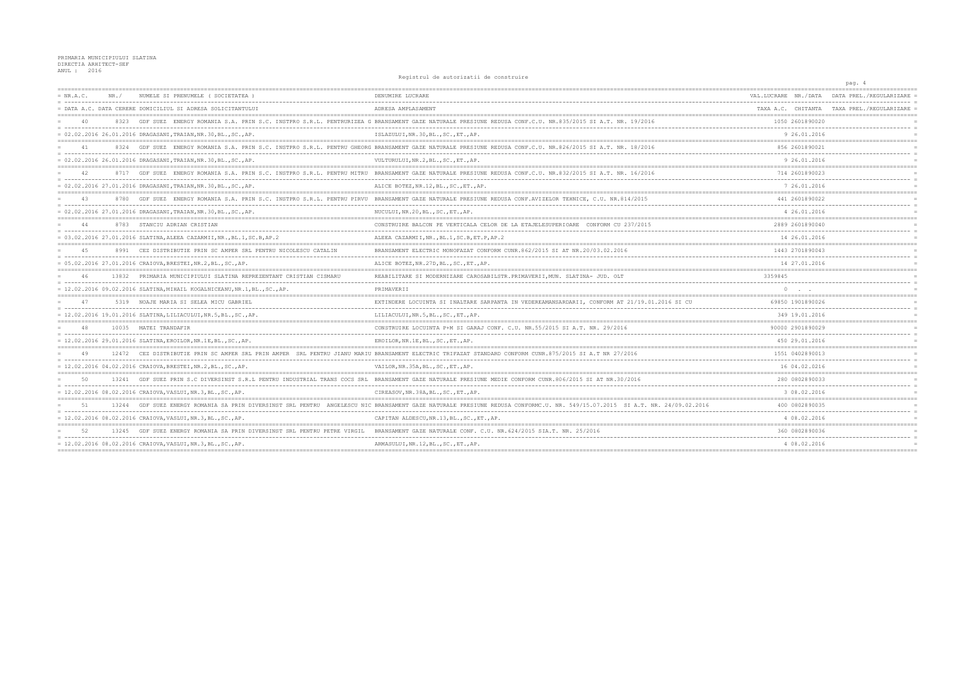PRIMARIA MUNICIPIULUI SLATINA<br>DIRECTIA ARHITECT-SEF<br>ANUL : 2016

Registrul de autorizatii de construire

|           |       |                                                                           | Registrui de autorizatii de construire                                                                                                                                      |                      | pag. 4                                       |
|-----------|-------|---------------------------------------------------------------------------|-----------------------------------------------------------------------------------------------------------------------------------------------------------------------------|----------------------|----------------------------------------------|
| = NR.A.C. | NR /  | NUMELE SI PRENUMELE (SOCIETATEA                                           | DENUMIRE LUCRARE                                                                                                                                                            | VAL.LUCRARE NR./DATA | DATA PREL./REGULARIZARE                      |
|           |       | DATA A.C. DATA CERERE DOMICILIUL SI ADRESA SOLICITANTULUI                 | ADRESA AMPLASAMENT                                                                                                                                                          |                      | TAXA A.C. CHITANTA TAXA PREL. / REGULARIZARE |
|           |       | GDF SUEZ                                                                  | ENERGY ROMANIA S.A. PRIN S.C. INSTPRO S.R.L. PENTRURIZEA G BRANSAMENT GAZE NATURALE PRESIUNE REDUSA CONF.C.U. NR.835/2015 SI A.T. NR. 19/2016                               | 1050 2601890020      |                                              |
|           |       | = 02.02.2016 26.01.2016 DRAGASANI, TRAIAN, NR.30, BL., SC., AP.           | ISLAZULUI, NR. 30, BL., SC., ET., AP.                                                                                                                                       | 9 26.01.2016         |                                              |
| 41        |       |                                                                           | 8324 GDF SUEZ ENERGY ROMANIA S.A. PRIN S.C. INSTPRO S.R.L. PENTRU GHEORG BRANSAMENT GAZE NATURALE PRESIUNE REDUSA CONF.C.U. NR.826/2015 SI A.T. NR. 18/2016                 | 856 2601890021       |                                              |
|           |       | : 02.02.2016 26.01.2016 DRAGASANI, TRAIAN, NR.30, BL., SC., AP.           | VULTURULUI, NR.2, BL., SC., ET., AP.                                                                                                                                        | 9 26.01.2016         | =====================================        |
| 42        |       |                                                                           | 8717 GDF SUEZ ENERGY ROMANIA S.A. PRIN S.C. INSTPRO S.R.L. PENTRU MITRU BRANSAMENT GAZE NATURALE PRESIUNE REDUSA CONF.C.U. NR.832/2015 SI A.T. NR. 16/2016                  | 714 2601890023       |                                              |
|           |       | 02.02.2016 27.01.2016 DRAGASANI, TRAIAN, NR.30, BL., SC., AP.             | ALICE BOTEZ, NR.12, BL., SC., ET., AP.                                                                                                                                      | 7 26.01.2016         |                                              |
| 43        |       |                                                                           | 8780 GDF SUEZ ENERGY ROMANIA S.A. PRIN S.C. INSTPRO S.R.L. PENTRU PIRVU BRANSAMENT GAZE NATURALE PRESIUNE REDUSA CONF.AVIZELOR TEHNICE, C.U. NR.814/2015                    | 441 2601890022       |                                              |
|           |       | = 02.02.2016 27.01.2016 DRAGASANI, TRAIAN, NR.30, BL., SC., AP.           | NUCULUI, NR.20, BL., SC., ET., AP.                                                                                                                                          | 4 26.01.2016         |                                              |
| 44        |       | 8783 STANCIU ADRIAN CRISTIAN                                              | CONSTRUIRE BALCON PE VERTICALA CELOR DE LA ETAJELESUPERIOARE CONFORM CU 237/2015                                                                                            | 2889 2601890040      |                                              |
|           |       | = 03.02.2016 27.01.2016 SLATINA, ALEEA CAZARMII, NR., BL.1, SC.B, AP.2    | ALEEA CAZARMII, NR., BL.1, SC.B, ET.P, AP.2                                                                                                                                 | 14 26.01.2016        |                                              |
| 4.5       |       | 8991 CEZ DISTRIBUTIE PRIN SC AMPER SRL PENTRU NICOLESCU CATALIN           | BRANSAMENT ELECTRIC MONOFAZAT CONFORM CUNR.862/2015 SI AT NR.20/03.02.2016                                                                                                  | 1443 2701890043      |                                              |
|           |       | = 05.02.2016 27.01.2016 CRAIOVA, BRESTEI, NR.2, BL., SC., AP.             | ALICE BOTEZ, NR. 27D, BL., SC., ET., AP.                                                                                                                                    | 14 27.01.2016        |                                              |
| 46        | 13832 | PRIMARIA MUNICIPIULUI SLATINA REPREZENTANT CRISTIAN CISMARU               | REABILITARE SI MODERNIZARE CAROSABILSTR. PRIMAVERII, MUN. SLATINA- JUD. OLT                                                                                                 | 3359845              |                                              |
|           |       | = 12.02.2016 09.02.2016 SLATINA, MIHAIL KOGALNICEANU, NR.1, BL., SC., AP. | PRIMAVERII                                                                                                                                                                  |                      |                                              |
| 47        |       | 5319 NOAJE MARIA SI SELEA MICU GABRIEL                                    | EXTINDERE LOCUINTA SI INALTARE SARPANTA IN VEDEREAMANSARDARII, CONFORM AT 21/19.01.2016 SI CU                                                                               | 69850 1901890026     |                                              |
|           |       | $= 12.02.2016 19.01.2016 SLATINA, LILIACULUI, NR.5,BL., SC., AP.$         | LILIACULUI, NR.5, BL., SC., ET., AP.                                                                                                                                        | 349 19.01.2016       |                                              |
| 48        |       | 10035 MATEI TRANDAFIR                                                     | CONSTRUIRE LOCUINTA P+M SI GARAJ CONF. C.U. NR.55/2015 SI A.T. NR. 29/2016                                                                                                  | 90000 2901890029     |                                              |
|           |       | = 12.02.2016 29.01.2016 SLATINA, EROILOR, NR.1E, BL., SC., AP.            | EROILOR, NR.1E, BL., SC., ET., AP.                                                                                                                                          | 450 29.01.2016       |                                              |
| 49        |       |                                                                           | 12472 CEZ DISTRIBUTIE PRIN SC AMPER SRL PRIN AMPER SRL PENTRU JIANU MARIU BRANSAMENT ELECTRIC TRIFAZAT STANDARD CONFORM CUNR.875/2015 SI A.T NR 27/2016                     | 1551 0402890013      |                                              |
|           |       | = 12.02.2016 04.02.2016 CRAIOVA, BRESTEI, NR.2, BL., SC., AP.             | VAILOR, NR. 35A, BL., SC., ET., AP.                                                                                                                                         | 16 04.02.0216        |                                              |
|           |       |                                                                           | 13241 GDF SUEZ PRIN S.C DIVERSINST S.R.L PENTRU INDUSTRIAL TRANS COCS SRL BRANSAMENT GAZE NATURALE PRESIUNE MEDIE CONFORM CUNR.806/2015 SI AT NR.30/2016                    | 280 0802890033       |                                              |
|           |       | $= 12.02.2016 08.02.2016 CRAIOVA, VASLUI, NR.3, BL., SC., AP.$            | CIREASOV, NR.38A, BL., SC., ET., AP.                                                                                                                                        | 3 08.02.2016         |                                              |
| 51        |       |                                                                           | 13244 GDF SUEZ ENERGY ROMANIA SA PRIN DIVERSINST SRL PENTRU ANGELESCU NIC BRANSAMENT GAZE NATURALE PRESIUNE REDUSA CONFORMC.U. NR. 549/15.07.2015 SI A.T. NR. 24/09.02.2016 | 400 0802890035       |                                              |
|           |       | = 12.02.2016 08.02.2016 CRAIOVA, VASLUI, NR.3, BL., SC., AP.              | CAPITAN ALDESCU, NR.13, BL., SC., ET., AP.                                                                                                                                  | 4 08.02.2016         |                                              |
| 52        | 13245 | GDF SUEZ ENERGY ROMANIA SA PRIN DIVERSINST SRL PENTRU PETRE VIRGIL        | BRANSAMENT GAZE NATURALE CONF. C.U. NR. 624/2015 SIA.T. NR. 25/2016                                                                                                         | 360 0802890036       |                                              |
|           |       | = 12.02.2016 08.02.2016 CRAIOVA, VASLUI, NR.3, BL., SC., AP.              | ARMASULUI, NR.12, BL., SC., ET., AP.                                                                                                                                        | 4 08.02.2016         |                                              |
|           |       |                                                                           |                                                                                                                                                                             |                      |                                              |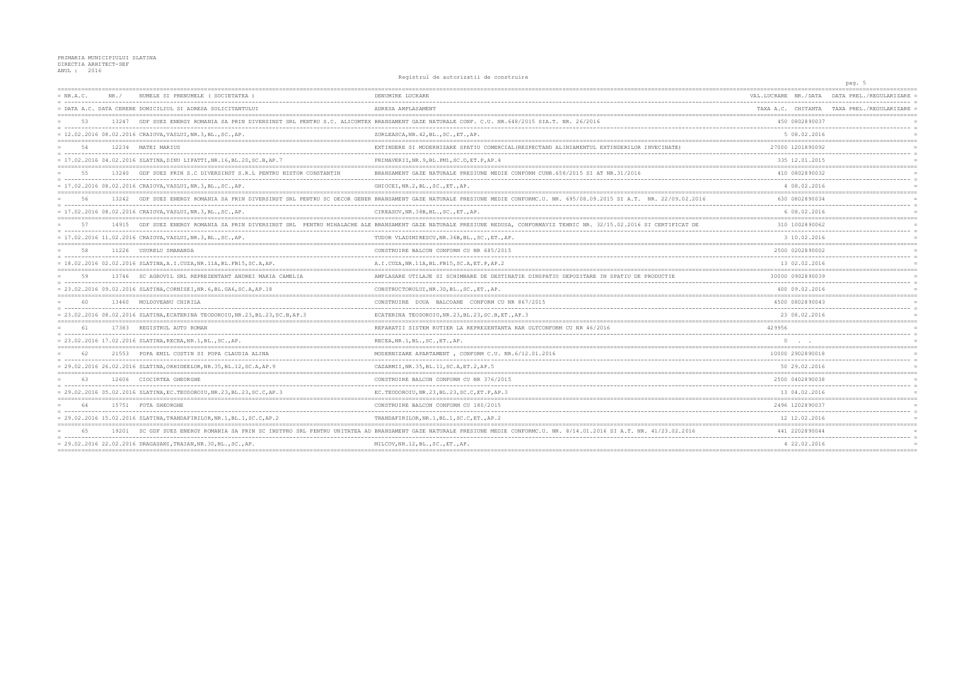## PRIMARIA MUNICIPIULUI SLATINA DIRECTIA ARHITECT-SEF ANUL : 2016

 $= NR.A.C.$ NR./ NUMELE ST PRENUMELE (SOCIETATEA) DENUMIRE LUCRARE = DATA A.C. DATA CERERE DOMICILIUL SI ADRESA SOLICITANTULUI ADRESA AMPLASAMENT 53 13247 GDF SUEZ ENERGY ROMANIA SA PRIN DIVERSINST SRL PENTRU S.C. ALICOMTEX BRANSAMENT GAZE NATURALE CONF. C.U. NR.648/2015 SIA.T. NR. 26/2016  $= 12.02.2016 08.02.2016 CRAIOVA, VASLUI, NR.3, BL., SC., AP.$ ZORLEASCA, NR. 42, BL., SC., ET., AP.  $54$ 12234 MATEI MARIUS EXTINDERE SI MODERNIZARE SPATIU COMERCIAL (RESPECTAND ALINIAMENTUL EXTINDERILOR INVECINATE) . . . . . . . . . . . . . . . . .  $= 17.02.2016 04.02.2016 SLATINA, DINU LIPATTI, NR.16, BL.20, SC.B, AP.7$ PRIMAVERII, NR. 9, BL. PM1, SC. D, ET. P, AP. 4 13240 GDF SUEZ PRIN S.C DIVERSINST S.R.L PENTRU NISTOR CONSTANTIN BRANSAMENT GAZE NATURALE PRESIUNE MEDIE CONFORM CUNR. 658/2015 SI AT NR. 31/2016 55 = 17.02.2016 08.02.2016 CRAIOVA, VASLUI, NR.3, BL., SC., AP.  $\texttt{GHIOCEI}, \texttt{NR.2}, \texttt{BL.}, \texttt{SC.}, \texttt{ET.}, \texttt{AP.}$  $\qquad \qquad \overline{\qquad}$ --------------------------------------13242 GDE SUEZ ENERGY ROMANIA SA PRIN DIVERSINST SRL PENTRU SC DECOR GENER BRANSAMENT GAZE NATURALE PRESIUNE MEDIE CONFORMC.U. NR. 695/08.09.2015 SI A.T. NR. 22/09.02.2016  $=$  56  $= 17.02.2016 08.02.2016 CRAIOVA, VASLUI, NR.3, BL., SC., AP.$ CIREASOV, NR. 38B, BL., SC., ET., AP. 57 14915 GDF SUEZ ENERGY ROMANIA SA PRIN DIVERSINST SRL PENTRU MIHALACHE ALE BRANSAMENT GAZE NATURALE PRESIUNE REDUSA, CONFORMAVIZ TEHNIC NR. 32/15.02.2016 SI CERTIFICAT DE  $= 17.02.2016.11.02.2016 CRATOVA VASLIIT. NR.3.RI. .SC. AP$ THOOR VLADIMIRESCH.NR 36B.BL .SC .ET .AP 58 11226 USURELU SMARANDA CONSTRUIRE BALCON CONFORM CU NR 685/2015 = 18.02.2016 02.02.2016 SLATINA, A.I.CUZA, NR.11A, BL.FB15, SC.A, AP. A.I.CUZA, NR.11A, BL.FB15, SC.A, ET.P, AP.2 .\_\_\_\_\_\_\_\_\_\_\_\_\_\_\_\_\_\_\_\_\_\_\_\_\_\_\_\_\_\_\_\_\_ 13746 SC AGROVII, SRI, REPREZENTANT ANDREI MARIA CAMELIA AMPLASARE UTILAJE SI SCHIMBARE DE DESTINATIE DINSPATIU DEPOZITARE IN SPATIU DE PRODUCTIE 59 = 23.02.2016 09.02.2016 SLATINA, CORNISEI, NR. 6, BL. GA6, SC. A, AP. 18 CONSTRUCTORULUI, NR.3D, BL., SC., ET., AP. \_\_\_\_\_\_\_\_\_\_\_\_\_\_\_\_\_\_\_\_\_\_  $60$ 13460 MOLDOVEANII CHIRILA CONSTRUIRE DOUA BALCOANE CONFORM CU NR 867/2015 . . . . . . . . . . . . . . . . --------------------------------------= 23.02.2016 08.02.2016 SLATINA, ECATERINA TEODOROIU, NR.23, BL.23, SC.B, AP.3 ECATERINA TEODOROIU, NR. 23, BL. 23, SC. B, ET., AP. 3 61 17383 REGISTRUL AUTO ROMAN REPARATII SISTEM RUTIER LA REPREZENTANTA RAR OLTCONFORM CU NR 46/2016 - ---- $= 23.02.2016 17.02.2016 SLATINA, RECEA, NR.1, BL., SC., AP.$ RECEA, NR.1, BL., SC., ET., AP.  $=$  ============ 21553 POPA EMIL COSTIN SI POPA CLAUDIA ALINA MODERNIZARE APARTAMENT . CONFORM C.U. NR. 6/12.01.2016 62 = 29.02.2016 26.02.2016 SLATINA, ORHIDEELOR, NR.35, BL.12, SC.A, AP.9 CAZARMII, NR. 35, BL. 11, SC. A, ET. 2, AP. 5 63 12606 CIOCIRTEA GHEORGHE CONSTRUIRE BALCON CONFORM CU NR 376/2015 . . . . . . --------------------- $= 29.02.2016 05.02.2016 SLATINA, EC, TEODOROIU, NR.23, BL.23, SC.C, AP.3$ EC. TEODOROIU, NR. 23, BL. 23, SC. C. ET. P. AP. 3 ------------------------------------------------------------------CONSTRUIRE BALCON CONFORM CU 180/2015 64 15751 FOTA GHEORGHE  $= 29.02.2016 15.02.2016 SLATINA, TRANDAFIRILOR, NR.1, BL.1, SC.C, AP.2$ TRANDAFIRILOR, NR. 1, BL. 1, SC. C, ET., AP. 2 ====================== 19201 SC GDF SUEZ ENERGY ROMANIA SA PRIN SC INSTPRO SRL PENTRU UNITATEA AD BRANSAMENT GAZE NATURALE PRESIUNE MEDIE CONFORMC.U. NR. 8/14.01.2016 SI A.T. NR. 41/23.02.2016 65

Registrul de autorizatii de construire

= 29.02.2016 22.02.2016 DRAGASANI, TRAIAN, NR.30, BL., SC., AP.

MILCOV, NR.12, BL., SC., ET., AP.

|            | pag. 5                                 |                                                  |                                   |
|------------|----------------------------------------|--------------------------------------------------|-----------------------------------|
|            | DATA PREL./REGULARIZARE                |                                                  | VAL.LUCRARE NR./DATA              |
|            | TAXA PREL./REGULARIZARE                | CHITANTA                                         | TAXA A.C.                         |
|            |                                        | 450 0802890037<br>$- - -$                        |                                   |
| $=$        |                                        | -------<br>5 08.02.2016                          |                                   |
|            | --------------------------------       | 27000 1201890092                                 |                                   |
| $=$        |                                        | ------------<br>335 12.01.2015                   |                                   |
| $=$        | ====================================== | 410 0802890032                                   |                                   |
| $=$<br>$=$ |                                        | . <u>.</u><br>4 08.02.2016                       |                                   |
|            |                                        | ==================<br>630 0802890034             |                                   |
| $=$<br>$=$ |                                        | -------------<br>6 08.02.2016                    |                                   |
|            |                                        | ==================<br>310 1002890062             |                                   |
|            |                                        | . <u>.</u><br>3 10.02.2016                       |                                   |
| $=$        |                                        | .===========<br>2500 0202890002                  |                                   |
| $=$<br>$=$ |                                        | $- - - -$<br>------<br>13 02.02.2016             |                                   |
| $=$        | ---------------------------------      | 30000 0902890039                                 |                                   |
| $=$        |                                        | . _ _ _ _ _ _ _ _ _ _ _ _<br>400 09.02.2016      |                                   |
| $=$<br>$=$ |                                        | 4500 0802890043                                  |                                   |
|            |                                        | ----------------<br>23 08.02.2016                |                                   |
| $=$        |                                        | ------------------------------                   | 429956                            |
| $=$        |                                        |                                                  | 0                                 |
| $=$        |                                        | ============================<br>10000 2902890018 |                                   |
| $=$        |                                        | . <i>.</i> .<br>50 29.02.2016                    |                                   |
| $=$<br>$=$ |                                        | 2500 0402890038                                  | --------------------------------- |
| $=$        |                                        | -----------<br>13 04.02.2016                     |                                   |
|            | -------------------------------        | 2496 1202890037                                  |                                   |
| $=$<br>$=$ |                                        | -------------<br>12.02.2016                      | 12                                |
|            |                                        | -----<br>441 2202890044                          | ________                          |
|            |                                        | .<br>4 22.02.2016                                |                                   |
|            |                                        | ===============                                  |                                   |